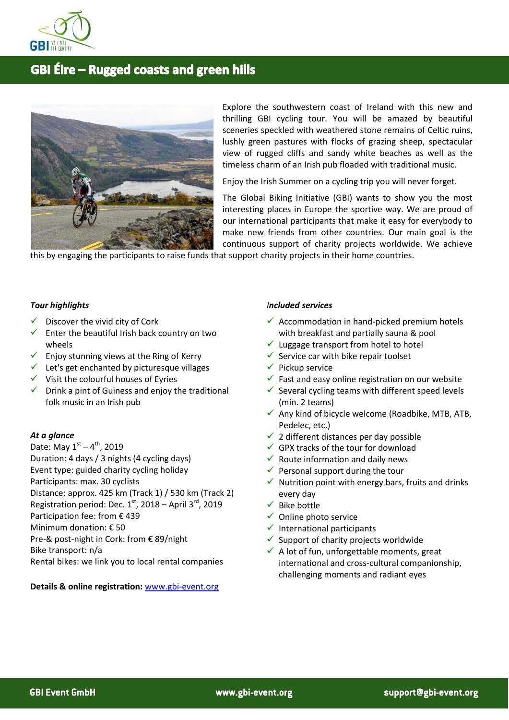

# **GBI Éire - Rugged coasts and green hills**



Explore the southwestern coast of Ireland with this new and thrilling GBI cycling tour. You will be amazed by beautiful sceneries speckled with weathered stone remains of Celtic ruins, lushly green pastures with flocks of grazing sheep, spectacular view of rugged cliffs and sandy white beaches as well as the timeless charm of an Irish pub floaded with traditional music.

Enjoy the Irish Summer on a cycling trip you will never forget.

The Global Biking Initiative (GBI) wants to show you the most interesting places in Europe the sportive way. We are proud of our international participants that make it easy for everybody to make new friends from other countries. Our main goal is the continuous support of charity projects worldwide. We achieve

this by engaging the participants to raise funds that support charity projects in their home countries.

## *Tour highlights*

- $\checkmark$  Discover the vivid city of Cork
- $\checkmark$  Enter the beautiful Irish back country on two wheels
- $\checkmark$  Enjoy stunning views at the Ring of Kerry
- $\checkmark$  Let's get enchanted by picturesque villages
- $\checkmark$  Visit the colourful houses of Eyries
- $\checkmark$  Drink a pint of Guiness and enjoy the traditional folk music in an Irish pub

#### *At a glance*

Date: May 1st – 4<sup>th</sup>, 2019 Duration: 4 days / 3 nights (4 cycling days) Event type: guided charity cycling holiday Participants: max. 30 cyclists Distance: approx. 425 km (Track 1) / 530 km (Track 2) Registration period: Dec.  $1<sup>st</sup>$ , 2018 – April 3<sup>rd</sup>, 2019 Participation fee: from € 439 Minimum donation: € 50 Pre-& post-night in Cork: from € 89/night Bike transport: n/a Rental bikes: we link you to local rental companies

#### **Details & online registration:** [www.gbi-event.org](http://www.gbi-event.org/)

## *Included services*

- $\checkmark$  Accommodation in hand-picked premium hotels with breakfast and partially sauna & pool
- $\checkmark$  Luggage transport from hotel to hotel
- Service car with bike repair toolset
- $\checkmark$  Pickup service
- $\checkmark$  Fast and easy online registration on our website
- $\checkmark$  Several cycling teams with different speed levels (min. 2 teams)
- $\checkmark$  Any kind of bicycle welcome (Roadbike, MTB, ATB, Pedelec, etc.)
- $\checkmark$  2 different distances per day possible
- $\checkmark$  GPX tracks of the tour for download
- $\checkmark$  Route information and daily news
- $\checkmark$  Personal support during the tour
- $\checkmark$  Nutrition point with energy bars, fruits and drinks every day
- $\checkmark$  Bike bottle
- $\checkmark$  Online photo service
- $\checkmark$  International participants
- $\checkmark$  Support of charity projects worldwide
- $\checkmark$  A lot of fun, unforgettable moments, great international and cross-cultural companionship, challenging moments and radiant eyes